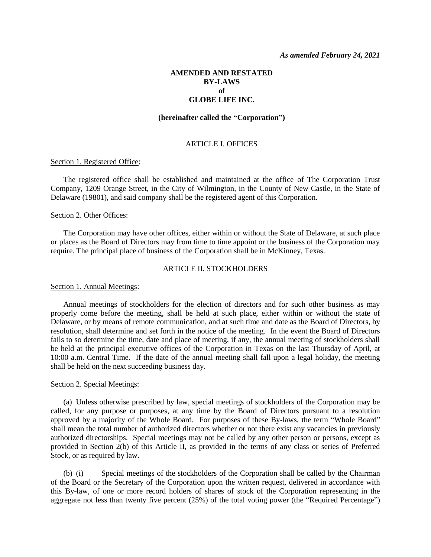# **AMENDED AND RESTATED BY-LAWS of GLOBE LIFE INC.**

### **(hereinafter called the "Corporation")**

## ARTICLE I. OFFICES

## Section 1. Registered Office:

The registered office shall be established and maintained at the office of The Corporation Trust Company, 1209 Orange Street, in the City of Wilmington, in the County of New Castle, in the State of Delaware (19801), and said company shall be the registered agent of this Corporation.

#### Section 2. Other Offices:

The Corporation may have other offices, either within or without the State of Delaware, at such place or places as the Board of Directors may from time to time appoint or the business of the Corporation may require. The principal place of business of the Corporation shall be in McKinney, Texas.

# ARTICLE II. STOCKHOLDERS

## Section 1. Annual Meetings:

Annual meetings of stockholders for the election of directors and for such other business as may properly come before the meeting, shall be held at such place, either within or without the state of Delaware, or by means of remote communication, and at such time and date as the Board of Directors, by resolution, shall determine and set forth in the notice of the meeting. In the event the Board of Directors fails to so determine the time, date and place of meeting, if any, the annual meeting of stockholders shall be held at the principal executive offices of the Corporation in Texas on the last Thursday of April, at 10:00 a.m. Central Time. If the date of the annual meeting shall fall upon a legal holiday, the meeting shall be held on the next succeeding business day.

#### Section 2. Special Meetings:

(a) Unless otherwise prescribed by law, special meetings of stockholders of the Corporation may be called, for any purpose or purposes, at any time by the Board of Directors pursuant to a resolution approved by a majority of the Whole Board. For purposes of these By-laws, the term "Whole Board" shall mean the total number of authorized directors whether or not there exist any vacancies in previously authorized directorships. Special meetings may not be called by any other person or persons, except as provided in Section 2(b) of this Article II, as provided in the terms of any class or series of Preferred Stock, or as required by law.

(b) (i) Special meetings of the stockholders of the Corporation shall be called by the Chairman of the Board or the Secretary of the Corporation upon the written request, delivered in accordance with this By-law, of one or more record holders of shares of stock of the Corporation representing in the aggregate not less than twenty five percent (25%) of the total voting power (the "Required Percentage")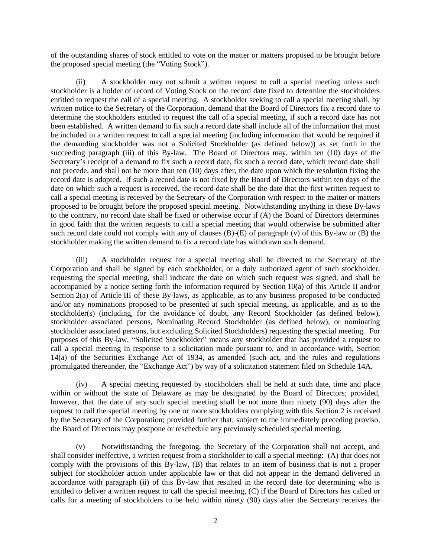of the outstanding shares of stock entitled to vote on the matter or matters proposed to be brought before the proposed special meeting (the "Voting Stock").

(ii) A stockholder may not submit a written request to call a special meeting unless such stockholder is a holder of record of Voting Stock on the record date fixed to determine the stockholders entitled to request the call of a special meeting. A stockholder seeking to call a special meeting shall, by written notice to the Secretary of the Corporation, demand that the Board of Directors fix a record date to determine the stockholders entitled to request the call of a special meeting, if such a record date has not been established. A written demand to fix such a record date shall include all of the information that must be included in a written request to call a special meeting (including information that would be required if the demanding stockholder was not a Solicited Stockholder (as defined below)) as set forth in the succeeding paragraph (iii) of this By-law. The Board of Directors may, within ten (10) days of the Secretary's receipt of a demand to fix such a record date, fix such a record date, which record date shall not precede, and shall not be more than ten (10) days after, the date upon which the resolution fixing the record date is adopted. If such a record date is not fixed by the Board of Directors within ten days of the date on which such a request is received, the record date shall be the date that the first written request to call a special meeting is received by the Secretary of the Corporation with respect to the matter or matters proposed to be brought before the proposed special meeting. Notwithstanding anything in these By-laws to the contrary, no record date shall be fixed or otherwise occur if (A) the Board of Directors determines in good faith that the written requests to call a special meeting that would otherwise be submitted after such record date could not comply with any of clauses (B)-(E) of paragraph (v) of this By-law or (B) the stockholder making the written demand to fix a record date has withdrawn such demand.

(iii) A stockholder request for a special meeting shall be directed to the Secretary of the Corporation and shall be signed by each stockholder, or a duly authorized agent of such stockholder, requesting the special meeting, shall indicate the date on which such request was signed, and shall be accompanied by a notice setting forth the information required by Section 10(a) of this Article II and/or Section 2(a) of Article III of these By-laws, as applicable, as to any business proposed to be conducted and/or any nominations proposed to be presented at such special meeting, as applicable, and as to the stockholder(s) (including, for the avoidance of doubt, any Record Stockholder (as defined below), stockholder associated persons, Nominating Record Stockholder (as defined below), or nominating stockholder associated persons, but excluding Solicited Stockholders) requesting the special meeting. For purposes of this By-law, "Solicited Stockholder" means any stockholder that has provided a request to call a special meeting in response to a solicitation made pursuant to, and in accordance with, Section 14(a) of the Securities Exchange Act of 1934, as amended (such act, and the rules and regulations promulgated thereunder, the "Exchange Act") by way of a solicitation statement filed on Schedule 14A.

(iv) A special meeting requested by stockholders shall be held at such date, time and place within or without the state of Delaware as may be designated by the Board of Directors; provided, however, that the date of any such special meeting shall be not more than ninety (90) days after the request to call the special meeting by one or more stockholders complying with this Section 2 is received by the Secretary of the Corporation; provided further that, subject to the immediately preceding proviso, the Board of Directors may postpone or reschedule any previously scheduled special meeting.

(v) Notwithstanding the foregoing, the Secretary of the Corporation shall not accept, and shall consider ineffective, a written request from a stockholder to call a special meeting: (A) that does not comply with the provisions of this By-law, (B) that relates to an item of business that is not a proper subject for stockholder action under applicable law or that did not appear in the demand delivered in accordance with paragraph (ii) of this By-law that resulted in the record date for determining who is entitled to deliver a written request to call the special meeting, (C) if the Board of Directors has called or calls for a meeting of stockholders to be held within ninety (90) days after the Secretary receives the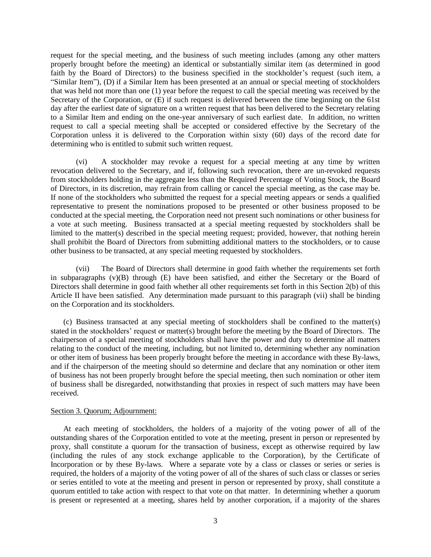request for the special meeting, and the business of such meeting includes (among any other matters properly brought before the meeting) an identical or substantially similar item (as determined in good faith by the Board of Directors) to the business specified in the stockholder's request (such item, a "Similar Item"), (D) if a Similar Item has been presented at an annual or special meeting of stockholders that was held not more than one (1) year before the request to call the special meeting was received by the Secretary of the Corporation, or (E) if such request is delivered between the time beginning on the 61st day after the earliest date of signature on a written request that has been delivered to the Secretary relating to a Similar Item and ending on the one-year anniversary of such earliest date. In addition, no written request to call a special meeting shall be accepted or considered effective by the Secretary of the Corporation unless it is delivered to the Corporation within sixty (60) days of the record date for determining who is entitled to submit such written request.

(vi) A stockholder may revoke a request for a special meeting at any time by written revocation delivered to the Secretary, and if, following such revocation, there are un-revoked requests from stockholders holding in the aggregate less than the Required Percentage of Voting Stock, the Board of Directors, in its discretion, may refrain from calling or cancel the special meeting, as the case may be. If none of the stockholders who submitted the request for a special meeting appears or sends a qualified representative to present the nominations proposed to be presented or other business proposed to be conducted at the special meeting, the Corporation need not present such nominations or other business for a vote at such meeting. Business transacted at a special meeting requested by stockholders shall be limited to the matter(s) described in the special meeting request; provided, however, that nothing herein shall prohibit the Board of Directors from submitting additional matters to the stockholders, or to cause other business to be transacted, at any special meeting requested by stockholders.

(vii) The Board of Directors shall determine in good faith whether the requirements set forth in subparagraphs (v)(B) through (E) have been satisfied, and either the Secretary or the Board of Directors shall determine in good faith whether all other requirements set forth in this Section 2(b) of this Article II have been satisfied. Any determination made pursuant to this paragraph (vii) shall be binding on the Corporation and its stockholders.

(c) Business transacted at any special meeting of stockholders shall be confined to the matter(s) stated in the stockholders' request or matter(s) brought before the meeting by the Board of Directors. The chairperson of a special meeting of stockholders shall have the power and duty to determine all matters relating to the conduct of the meeting, including, but not limited to, determining whether any nomination or other item of business has been properly brought before the meeting in accordance with these By-laws, and if the chairperson of the meeting should so determine and declare that any nomination or other item of business has not been properly brought before the special meeting, then such nomination or other item of business shall be disregarded, notwithstanding that proxies in respect of such matters may have been received.

## Section 3. Quorum; Adjournment:

At each meeting of stockholders, the holders of a majority of the voting power of all of the outstanding shares of the Corporation entitled to vote at the meeting, present in person or represented by proxy, shall constitute a quorum for the transaction of business, except as otherwise required by law (including the rules of any stock exchange applicable to the Corporation), by the Certificate of Incorporation or by these By-laws. Where a separate vote by a class or classes or series or series is required, the holders of a majority of the voting power of all of the shares of such class or classes or series or series entitled to vote at the meeting and present in person or represented by proxy, shall constitute a quorum entitled to take action with respect to that vote on that matter. In determining whether a quorum is present or represented at a meeting, shares held by another corporation, if a majority of the shares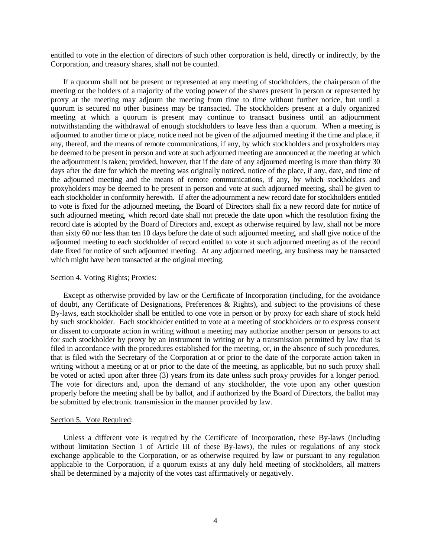entitled to vote in the election of directors of such other corporation is held, directly or indirectly, by the Corporation, and treasury shares, shall not be counted.

If a quorum shall not be present or represented at any meeting of stockholders, the chairperson of the meeting or the holders of a majority of the voting power of the shares present in person or represented by proxy at the meeting may adjourn the meeting from time to time without further notice, but until a quorum is secured no other business may be transacted. The stockholders present at a duly organized meeting at which a quorum is present may continue to transact business until an adjournment notwithstanding the withdrawal of enough stockholders to leave less than a quorum. When a meeting is adjourned to another time or place, notice need not be given of the adjourned meeting if the time and place, if any, thereof, and the means of remote communications, if any, by which stockholders and proxyholders may be deemed to be present in person and vote at such adjourned meeting are announced at the meeting at which the adjournment is taken; provided, however, that if the date of any adjourned meeting is more than thirty 30 days after the date for which the meeting was originally noticed, notice of the place, if any, date, and time of the adjourned meeting and the means of remote communications, if any, by which stockholders and proxyholders may be deemed to be present in person and vote at such adjourned meeting, shall be given to each stockholder in conformity herewith. If after the adjournment a new record date for stockholders entitled to vote is fixed for the adjourned meeting, the Board of Directors shall fix a new record date for notice of such adjourned meeting, which record date shall not precede the date upon which the resolution fixing the record date is adopted by the Board of Directors and, except as otherwise required by law, shall not be more than sixty 60 nor less than ten 10 days before the date of such adjourned meeting, and shall give notice of the adjourned meeting to each stockholder of record entitled to vote at such adjourned meeting as of the record date fixed for notice of such adjourned meeting. At any adjourned meeting, any business may be transacted which might have been transacted at the original meeting.

#### Section 4. Voting Rights; Proxies:

Except as otherwise provided by law or the Certificate of Incorporation (including, for the avoidance of doubt, any Certificate of Designations, Preferences & Rights), and subject to the provisions of these By-laws, each stockholder shall be entitled to one vote in person or by proxy for each share of stock held by such stockholder. Each stockholder entitled to vote at a meeting of stockholders or to express consent or dissent to corporate action in writing without a meeting may authorize another person or persons to act for such stockholder by proxy by an instrument in writing or by a transmission permitted by law that is filed in accordance with the procedures established for the meeting, or, in the absence of such procedures, that is filed with the Secretary of the Corporation at or prior to the date of the corporate action taken in writing without a meeting or at or prior to the date of the meeting, as applicable, but no such proxy shall be voted or acted upon after three (3) years from its date unless such proxy provides for a longer period. The vote for directors and, upon the demand of any stockholder, the vote upon any other question properly before the meeting shall be by ballot, and if authorized by the Board of Directors, the ballot may be submitted by electronic transmission in the manner provided by law.

#### Section 5. Vote Required:

Unless a different vote is required by the Certificate of Incorporation, these By-laws (including without limitation Section 1 of Article III of these By-laws), the rules or regulations of any stock exchange applicable to the Corporation, or as otherwise required by law or pursuant to any regulation applicable to the Corporation, if a quorum exists at any duly held meeting of stockholders, all matters shall be determined by a majority of the votes cast affirmatively or negatively.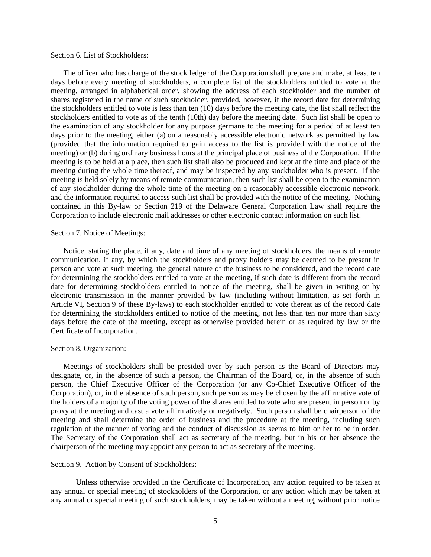### Section 6. List of Stockholders:

The officer who has charge of the stock ledger of the Corporation shall prepare and make, at least ten days before every meeting of stockholders, a complete list of the stockholders entitled to vote at the meeting, arranged in alphabetical order, showing the address of each stockholder and the number of shares registered in the name of such stockholder, provided, however, if the record date for determining the stockholders entitled to vote is less than ten (10) days before the meeting date, the list shall reflect the stockholders entitled to vote as of the tenth (10th) day before the meeting date. Such list shall be open to the examination of any stockholder for any purpose germane to the meeting for a period of at least ten days prior to the meeting, either (a) on a reasonably accessible electronic network as permitted by law (provided that the information required to gain access to the list is provided with the notice of the meeting) or (b) during ordinary business hours at the principal place of business of the Corporation. If the meeting is to be held at a place, then such list shall also be produced and kept at the time and place of the meeting during the whole time thereof, and may be inspected by any stockholder who is present. If the meeting is held solely by means of remote communication, then such list shall be open to the examination of any stockholder during the whole time of the meeting on a reasonably accessible electronic network, and the information required to access such list shall be provided with the notice of the meeting. Nothing contained in this By-law or Section 219 of the Delaware General Corporation Law shall require the Corporation to include electronic mail addresses or other electronic contact information on such list.

#### Section 7. Notice of Meetings:

Notice, stating the place, if any, date and time of any meeting of stockholders, the means of remote communication, if any, by which the stockholders and proxy holders may be deemed to be present in person and vote at such meeting, the general nature of the business to be considered, and the record date for determining the stockholders entitled to vote at the meeting, if such date is different from the record date for determining stockholders entitled to notice of the meeting, shall be given in writing or by electronic transmission in the manner provided by law (including without limitation, as set forth in Article VI, Section 9 of these By-laws) to each stockholder entitled to vote thereat as of the record date for determining the stockholders entitled to notice of the meeting, not less than ten nor more than sixty days before the date of the meeting, except as otherwise provided herein or as required by law or the Certificate of Incorporation.

#### Section 8. Organization:

Meetings of stockholders shall be presided over by such person as the Board of Directors may designate, or, in the absence of such a person, the Chairman of the Board, or, in the absence of such person, the Chief Executive Officer of the Corporation (or any Co-Chief Executive Officer of the Corporation), or, in the absence of such person, such person as may be chosen by the affirmative vote of the holders of a majority of the voting power of the shares entitled to vote who are present in person or by proxy at the meeting and cast a vote affirmatively or negatively. Such person shall be chairperson of the meeting and shall determine the order of business and the procedure at the meeting, including such regulation of the manner of voting and the conduct of discussion as seems to him or her to be in order. The Secretary of the Corporation shall act as secretary of the meeting, but in his or her absence the chairperson of the meeting may appoint any person to act as secretary of the meeting.

# Section 9. Action by Consent of Stockholders:

Unless otherwise provided in the Certificate of Incorporation, any action required to be taken at any annual or special meeting of stockholders of the Corporation, or any action which may be taken at any annual or special meeting of such stockholders, may be taken without a meeting, without prior notice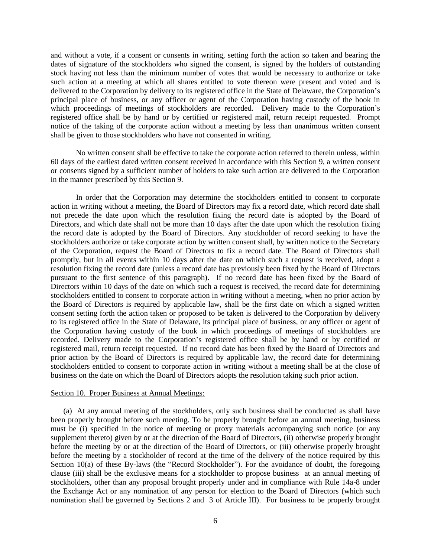and without a vote, if a consent or consents in writing, setting forth the action so taken and bearing the dates of signature of the stockholders who signed the consent, is signed by the holders of outstanding stock having not less than the minimum number of votes that would be necessary to authorize or take such action at a meeting at which all shares entitled to vote thereon were present and voted and is delivered to the Corporation by delivery to its registered office in the State of Delaware, the Corporation's principal place of business, or any officer or agent of the Corporation having custody of the book in which proceedings of meetings of stockholders are recorded. Delivery made to the Corporation's registered office shall be by hand or by certified or registered mail, return receipt requested. Prompt notice of the taking of the corporate action without a meeting by less than unanimous written consent shall be given to those stockholders who have not consented in writing.

No written consent shall be effective to take the corporate action referred to therein unless, within 60 days of the earliest dated written consent received in accordance with this Section 9, a written consent or consents signed by a sufficient number of holders to take such action are delivered to the Corporation in the manner prescribed by this Section 9.

In order that the Corporation may determine the stockholders entitled to consent to corporate action in writing without a meeting, the Board of Directors may fix a record date, which record date shall not precede the date upon which the resolution fixing the record date is adopted by the Board of Directors, and which date shall not be more than 10 days after the date upon which the resolution fixing the record date is adopted by the Board of Directors. Any stockholder of record seeking to have the stockholders authorize or take corporate action by written consent shall, by written notice to the Secretary of the Corporation, request the Board of Directors to fix a record date. The Board of Directors shall promptly, but in all events within 10 days after the date on which such a request is received, adopt a resolution fixing the record date (unless a record date has previously been fixed by the Board of Directors pursuant to the first sentence of this paragraph). If no record date has been fixed by the Board of Directors within 10 days of the date on which such a request is received, the record date for determining stockholders entitled to consent to corporate action in writing without a meeting, when no prior action by the Board of Directors is required by applicable law, shall be the first date on which a signed written consent setting forth the action taken or proposed to be taken is delivered to the Corporation by delivery to its registered office in the State of Delaware, its principal place of business, or any officer or agent of the Corporation having custody of the book in which proceedings of meetings of stockholders are recorded. Delivery made to the Corporation's registered office shall be by hand or by certified or registered mail, return receipt requested. If no record date has been fixed by the Board of Directors and prior action by the Board of Directors is required by applicable law, the record date for determining stockholders entitled to consent to corporate action in writing without a meeting shall be at the close of business on the date on which the Board of Directors adopts the resolution taking such prior action.

### Section 10. Proper Business at Annual Meetings:

(a) At any annual meeting of the stockholders, only such business shall be conducted as shall have been properly brought before such meeting. To be properly brought before an annual meeting, business must be (i) specified in the notice of meeting or proxy materials accompanying such notice (or any supplement thereto) given by or at the direction of the Board of Directors, (ii) otherwise properly brought before the meeting by or at the direction of the Board of Directors, or (iii) otherwise properly brought before the meeting by a stockholder of record at the time of the delivery of the notice required by this Section 10(a) of these By-laws (the "Record Stockholder"). For the avoidance of doubt, the foregoing clause (iii) shall be the exclusive means for a stockholder to propose business at an annual meeting of stockholders, other than any proposal brought properly under and in compliance with Rule 14a-8 under the Exchange Act or any nomination of any person for election to the Board of Directors (which such nomination shall be governed by Sections 2 and 3 of Article III). For business to be properly brought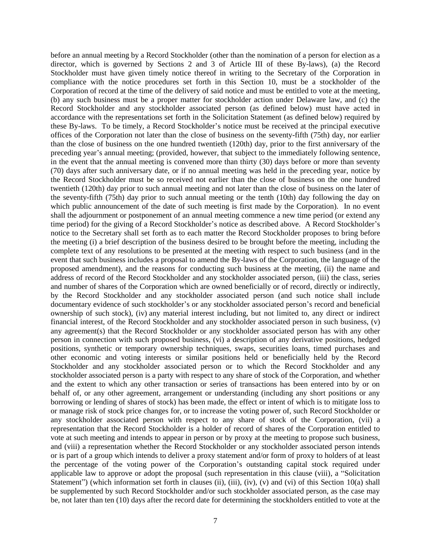before an annual meeting by a Record Stockholder (other than the nomination of a person for election as a director, which is governed by Sections 2 and 3 of Article III of these By-laws), (a) the Record Stockholder must have given timely notice thereof in writing to the Secretary of the Corporation in compliance with the notice procedures set forth in this Section 10, must be a stockholder of the Corporation of record at the time of the delivery of said notice and must be entitled to vote at the meeting, (b) any such business must be a proper matter for stockholder action under Delaware law, and (c) the Record Stockholder and any stockholder associated person (as defined below) must have acted in accordance with the representations set forth in the Solicitation Statement (as defined below) required by these By-laws. To be timely, a Record Stockholder's notice must be received at the principal executive offices of the Corporation not later than the close of business on the seventy-fifth (75th) day, nor earlier than the close of business on the one hundred twentieth (120th) day, prior to the first anniversary of the preceding year's annual meeting; (provided, however, that subject to the immediately following sentence, in the event that the annual meeting is convened more than thirty (30) days before or more than seventy (70) days after such anniversary date, or if no annual meeting was held in the preceding year, notice by the Record Stockholder must be so received not earlier than the close of business on the one hundred twentieth (120th) day prior to such annual meeting and not later than the close of business on the later of the seventy-fifth (75th) day prior to such annual meeting or the tenth (10th) day following the day on which public announcement of the date of such meeting is first made by the Corporation). In no event shall the adjournment or postponement of an annual meeting commence a new time period (or extend any time period) for the giving of a Record Stockholder's notice as described above. A Record Stockholder's notice to the Secretary shall set forth as to each matter the Record Stockholder proposes to bring before the meeting (i) a brief description of the business desired to be brought before the meeting, including the complete text of any resolutions to be presented at the meeting with respect to such business (and in the event that such business includes a proposal to amend the By-laws of the Corporation, the language of the proposed amendment), and the reasons for conducting such business at the meeting, (ii) the name and address of record of the Record Stockholder and any stockholder associated person, (iii) the class, series and number of shares of the Corporation which are owned beneficially or of record, directly or indirectly, by the Record Stockholder and any stockholder associated person (and such notice shall include documentary evidence of such stockholder's or any stockholder associated person's record and beneficial ownership of such stock), (iv) any material interest including, but not limited to, any direct or indirect financial interest, of the Record Stockholder and any stockholder associated person in such business, (v) any agreement(s) that the Record Stockholder or any stockholder associated person has with any other person in connection with such proposed business, (vi) a description of any derivative positions, hedged positions, synthetic or temporary ownership techniques, swaps, securities loans, timed purchases and other economic and voting interests or similar positions held or beneficially held by the Record Stockholder and any stockholder associated person or to which the Record Stockholder and any stockholder associated person is a party with respect to any share of stock of the Corporation, and whether and the extent to which any other transaction or series of transactions has been entered into by or on behalf of, or any other agreement, arrangement or understanding (including any short positions or any borrowing or lending of shares of stock) has been made, the effect or intent of which is to mitigate loss to or manage risk of stock price changes for, or to increase the voting power of, such Record Stockholder or any stockholder associated person with respect to any share of stock of the Corporation, (vii) a representation that the Record Stockholder is a holder of record of shares of the Corporation entitled to vote at such meeting and intends to appear in person or by proxy at the meeting to propose such business, and (viii) a representation whether the Record Stockholder or any stockholder associated person intends or is part of a group which intends to deliver a proxy statement and/or form of proxy to holders of at least the percentage of the voting power of the Corporation's outstanding capital stock required under applicable law to approve or adopt the proposal (such representation in this clause (viii), a "Solicitation Statement") (which information set forth in clauses (ii), (iii), (iv), (v) and (vi) of this Section 10(a) shall be supplemented by such Record Stockholder and/or such stockholder associated person, as the case may be, not later than ten (10) days after the record date for determining the stockholders entitled to vote at the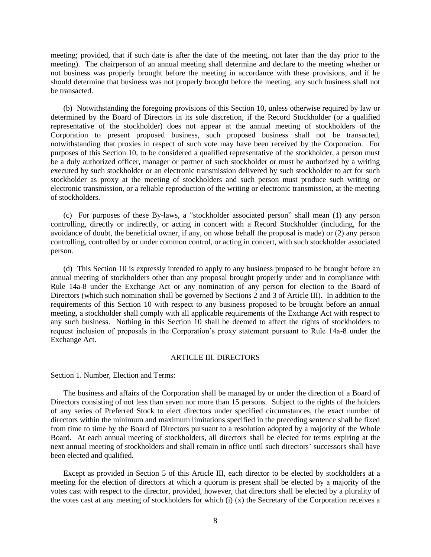meeting; provided, that if such date is after the date of the meeting, not later than the day prior to the meeting). The chairperson of an annual meeting shall determine and declare to the meeting whether or not business was properly brought before the meeting in accordance with these provisions, and if he should determine that business was not properly brought before the meeting, any such business shall not be transacted.

(b) Notwithstanding the foregoing provisions of this Section 10, unless otherwise required by law or determined by the Board of Directors in its sole discretion, if the Record Stockholder (or a qualified representative of the stockholder) does not appear at the annual meeting of stockholders of the Corporation to present proposed business, such proposed business shall not be transacted, notwithstanding that proxies in respect of such vote may have been received by the Corporation. For purposes of this Section 10, to be considered a qualified representative of the stockholder, a person must be a duly authorized officer, manager or partner of such stockholder or must be authorized by a writing executed by such stockholder or an electronic transmission delivered by such stockholder to act for such stockholder as proxy at the meeting of stockholders and such person must produce such writing or electronic transmission, or a reliable reproduction of the writing or electronic transmission, at the meeting of stockholders.

(c) For purposes of these By-laws, a "stockholder associated person" shall mean (1) any person controlling, directly or indirectly, or acting in concert with a Record Stockholder (including, for the avoidance of doubt, the beneficial owner, if any, on whose behalf the proposal is made) or (2) any person controlling, controlled by or under common control, or acting in concert, with such stockholder associated person.

(d) This Section 10 is expressly intended to apply to any business proposed to be brought before an annual meeting of stockholders other than any proposal brought properly under and in compliance with Rule 14a-8 under the Exchange Act or any nomination of any person for election to the Board of Directors (which such nomination shall be governed by Sections 2 and 3 of Article III). In addition to the requirements of this Section 10 with respect to any business proposed to be brought before an annual meeting, a stockholder shall comply with all applicable requirements of the Exchange Act with respect to any such business. Nothing in this Section 10 shall be deemed to affect the rights of stockholders to request inclusion of proposals in the Corporation's proxy statement pursuant to Rule 14a-8 under the Exchange Act.

# ARTICLE III. DIRECTORS

# Section 1. Number, Election and Terms:

The business and affairs of the Corporation shall be managed by or under the direction of a Board of Directors consisting of not less than seven nor more than 15 persons. Subject to the rights of the holders of any series of Preferred Stock to elect directors under specified circumstances, the exact number of directors within the minimum and maximum limitations specified in the preceding sentence shall be fixed from time to time by the Board of Directors pursuant to a resolution adopted by a majority of the Whole Board. At each annual meeting of stockholders, all directors shall be elected for terms expiring at the next annual meeting of stockholders and shall remain in office until such directors' successors shall have been elected and qualified.

Except as provided in Section 5 of this Article III, each director to be elected by stockholders at a meeting for the election of directors at which a quorum is present shall be elected by a majority of the votes cast with respect to the director, provided, however, that directors shall be elected by a plurality of the votes cast at any meeting of stockholders for which (i) (x) the Secretary of the Corporation receives a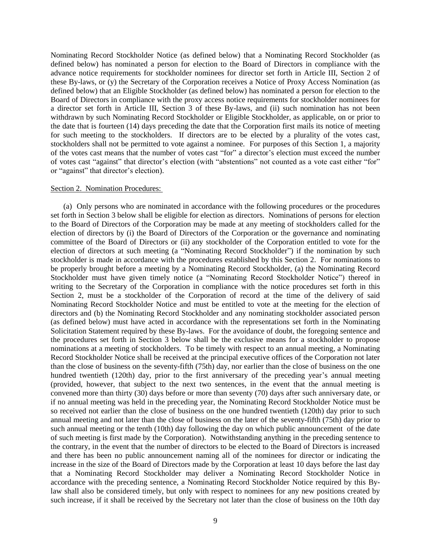Nominating Record Stockholder Notice (as defined below) that a Nominating Record Stockholder (as defined below) has nominated a person for election to the Board of Directors in compliance with the advance notice requirements for stockholder nominees for director set forth in Article III, Section 2 of these By-laws, or (y) the Secretary of the Corporation receives a Notice of Proxy Access Nomination (as defined below) that an Eligible Stockholder (as defined below) has nominated a person for election to the Board of Directors in compliance with the proxy access notice requirements for stockholder nominees for a director set forth in Article III, Section 3 of these By-laws, and (ii) such nomination has not been withdrawn by such Nominating Record Stockholder or Eligible Stockholder, as applicable, on or prior to the date that is fourteen (14) days preceding the date that the Corporation first mails its notice of meeting for such meeting to the stockholders. If directors are to be elected by a plurality of the votes cast, stockholders shall not be permitted to vote against a nominee. For purposes of this Section 1, a majority of the votes cast means that the number of votes cast "for" a director's election must exceed the number of votes cast "against" that director's election (with "abstentions" not counted as a vote cast either "for" or "against" that director's election).

#### Section 2. Nomination Procedures:

(a) Only persons who are nominated in accordance with the following procedures or the procedures set forth in Section 3 below shall be eligible for election as directors. Nominations of persons for election to the Board of Directors of the Corporation may be made at any meeting of stockholders called for the election of directors by (i) the Board of Directors of the Corporation or the governance and nominating committee of the Board of Directors or (ii) any stockholder of the Corporation entitled to vote for the election of directors at such meeting (a "Nominating Record Stockholder") if the nomination by such stockholder is made in accordance with the procedures established by this Section 2. For nominations to be properly brought before a meeting by a Nominating Record Stockholder, (a) the Nominating Record Stockholder must have given timely notice (a "Nominating Record Stockholder Notice") thereof in writing to the Secretary of the Corporation in compliance with the notice procedures set forth in this Section 2, must be a stockholder of the Corporation of record at the time of the delivery of said Nominating Record Stockholder Notice and must be entitled to vote at the meeting for the election of directors and (b) the Nominating Record Stockholder and any nominating stockholder associated person (as defined below) must have acted in accordance with the representations set forth in the Nominating Solicitation Statement required by these By-laws. For the avoidance of doubt, the foregoing sentence and the procedures set forth in Section 3 below shall be the exclusive means for a stockholder to propose nominations at a meeting of stockholders. To be timely with respect to an annual meeting, a Nominating Record Stockholder Notice shall be received at the principal executive offices of the Corporation not later than the close of business on the seventy-fifth (75th) day, nor earlier than the close of business on the one hundred twentieth (120th) day, prior to the first anniversary of the preceding year's annual meeting (provided, however, that subject to the next two sentences, in the event that the annual meeting is convened more than thirty (30) days before or more than seventy (70) days after such anniversary date, or if no annual meeting was held in the preceding year, the Nominating Record Stockholder Notice must be so received not earlier than the close of business on the one hundred twentieth (120th) day prior to such annual meeting and not later than the close of business on the later of the seventy-fifth (75th) day prior to such annual meeting or the tenth (10th) day following the day on which public announcement of the date of such meeting is first made by the Corporation). Notwithstanding anything in the preceding sentence to the contrary, in the event that the number of directors to be elected to the Board of Directors is increased and there has been no public announcement naming all of the nominees for director or indicating the increase in the size of the Board of Directors made by the Corporation at least 10 days before the last day that a Nominating Record Stockholder may deliver a Nominating Record Stockholder Notice in accordance with the preceding sentence, a Nominating Record Stockholder Notice required by this Bylaw shall also be considered timely, but only with respect to nominees for any new positions created by such increase, if it shall be received by the Secretary not later than the close of business on the 10th day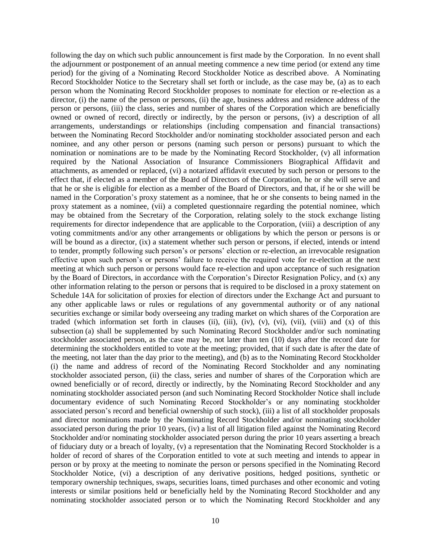following the day on which such public announcement is first made by the Corporation. In no event shall the adjournment or postponement of an annual meeting commence a new time period (or extend any time period) for the giving of a Nominating Record Stockholder Notice as described above. A Nominating Record Stockholder Notice to the Secretary shall set forth or include, as the case may be, (a) as to each person whom the Nominating Record Stockholder proposes to nominate for election or re-election as a director, (i) the name of the person or persons, (ii) the age, business address and residence address of the person or persons, (iii) the class, series and number of shares of the Corporation which are beneficially owned or owned of record, directly or indirectly, by the person or persons, (iv) a description of all arrangements, understandings or relationships (including compensation and financial transactions) between the Nominating Record Stockholder and/or nominating stockholder associated person and each nominee, and any other person or persons (naming such person or persons) pursuant to which the nomination or nominations are to be made by the Nominating Record Stockholder, (v) all information required by the National Association of Insurance Commissioners Biographical Affidavit and attachments, as amended or replaced, (vi) a notarized affidavit executed by such person or persons to the effect that, if elected as a member of the Board of Directors of the Corporation, he or she will serve and that he or she is eligible for election as a member of the Board of Directors, and that, if he or she will be named in the Corporation's proxy statement as a nominee, that he or she consents to being named in the proxy statement as a nominee, (vii) a completed questionnaire regarding the potential nominee, which may be obtained from the Secretary of the Corporation, relating solely to the stock exchange listing requirements for director independence that are applicable to the Corporation, (viii) a description of any voting commitments and/or any other arrangements or obligations by which the person or persons is or will be bound as a director, (ix) a statement whether such person or persons, if elected, intends or intend to tender, promptly following such person's or persons' election or re-election, an irrevocable resignation effective upon such person's or persons' failure to receive the required vote for re-election at the next meeting at which such person or persons would face re-election and upon acceptance of such resignation by the Board of Directors, in accordance with the Corporation's Director Resignation Policy, and (x) any other information relating to the person or persons that is required to be disclosed in a proxy statement on Schedule 14A for solicitation of proxies for election of directors under the Exchange Act and pursuant to any other applicable laws or rules or regulations of any governmental authority or of any national securities exchange or similar body overseeing any trading market on which shares of the Corporation are traded (which information set forth in clauses (ii), (iii), (iv), (v), (vi), (vii), (viii) and (x) of this subsection (a) shall be supplemented by such Nominating Record Stockholder and/or such nominating stockholder associated person, as the case may be, not later than ten (10) days after the record date for determining the stockholders entitled to vote at the meeting; provided, that if such date is after the date of the meeting, not later than the day prior to the meeting), and (b) as to the Nominating Record Stockholder (i) the name and address of record of the Nominating Record Stockholder and any nominating stockholder associated person, (ii) the class, series and number of shares of the Corporation which are owned beneficially or of record, directly or indirectly, by the Nominating Record Stockholder and any nominating stockholder associated person (and such Nominating Record Stockholder Notice shall include documentary evidence of such Nominating Record Stockholder's or any nominating stockholder associated person's record and beneficial ownership of such stock), (iii) a list of all stockholder proposals and director nominations made by the Nominating Record Stockholder and/or nominating stockholder associated person during the prior 10 years, (iv) a list of all litigation filed against the Nominating Record Stockholder and/or nominating stockholder associated person during the prior 10 years asserting a breach of fiduciary duty or a breach of loyalty, (v) a representation that the Nominating Record Stockholder is a holder of record of shares of the Corporation entitled to vote at such meeting and intends to appear in person or by proxy at the meeting to nominate the person or persons specified in the Nominating Record Stockholder Notice, (vi) a description of any derivative positions, hedged positions, synthetic or temporary ownership techniques, swaps, securities loans, timed purchases and other economic and voting interests or similar positions held or beneficially held by the Nominating Record Stockholder and any nominating stockholder associated person or to which the Nominating Record Stockholder and any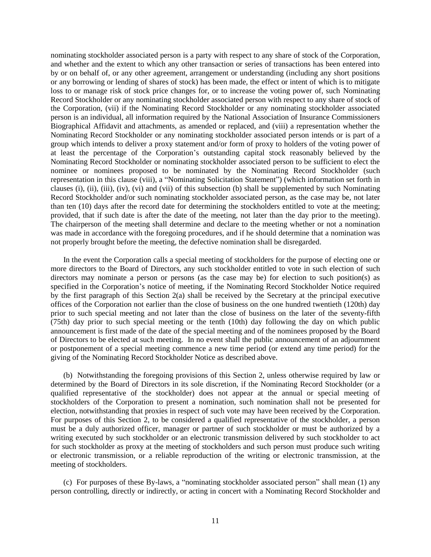nominating stockholder associated person is a party with respect to any share of stock of the Corporation, and whether and the extent to which any other transaction or series of transactions has been entered into by or on behalf of, or any other agreement, arrangement or understanding (including any short positions or any borrowing or lending of shares of stock) has been made, the effect or intent of which is to mitigate loss to or manage risk of stock price changes for, or to increase the voting power of, such Nominating Record Stockholder or any nominating stockholder associated person with respect to any share of stock of the Corporation, (vii) if the Nominating Record Stockholder or any nominating stockholder associated person is an individual, all information required by the National Association of Insurance Commissioners Biographical Affidavit and attachments, as amended or replaced, and (viii) a representation whether the Nominating Record Stockholder or any nominating stockholder associated person intends or is part of a group which intends to deliver a proxy statement and/or form of proxy to holders of the voting power of at least the percentage of the Corporation's outstanding capital stock reasonably believed by the Nominating Record Stockholder or nominating stockholder associated person to be sufficient to elect the nominee or nominees proposed to be nominated by the Nominating Record Stockholder (such representation in this clause (viii), a "Nominating Solicitation Statement") (which information set forth in clauses (i), (ii), (iii), (iv), (vi) and (vii) of this subsection (b) shall be supplemented by such Nominating Record Stockholder and/or such nominating stockholder associated person, as the case may be, not later than ten (10) days after the record date for determining the stockholders entitled to vote at the meeting; provided, that if such date is after the date of the meeting, not later than the day prior to the meeting). The chairperson of the meeting shall determine and declare to the meeting whether or not a nomination was made in accordance with the foregoing procedures, and if he should determine that a nomination was not properly brought before the meeting, the defective nomination shall be disregarded.

In the event the Corporation calls a special meeting of stockholders for the purpose of electing one or more directors to the Board of Directors, any such stockholder entitled to vote in such election of such directors may nominate a person or persons (as the case may be) for election to such position(s) as specified in the Corporation's notice of meeting, if the Nominating Record Stockholder Notice required by the first paragraph of this Section 2(a) shall be received by the Secretary at the principal executive offices of the Corporation not earlier than the close of business on the one hundred twentieth (120th) day prior to such special meeting and not later than the close of business on the later of the seventy-fifth (75th) day prior to such special meeting or the tenth (10th) day following the day on which public announcement is first made of the date of the special meeting and of the nominees proposed by the Board of Directors to be elected at such meeting. In no event shall the public announcement of an adjournment or postponement of a special meeting commence a new time period (or extend any time period) for the giving of the Nominating Record Stockholder Notice as described above.

(b) Notwithstanding the foregoing provisions of this Section 2, unless otherwise required by law or determined by the Board of Directors in its sole discretion, if the Nominating Record Stockholder (or a qualified representative of the stockholder) does not appear at the annual or special meeting of stockholders of the Corporation to present a nomination, such nomination shall not be presented for election, notwithstanding that proxies in respect of such vote may have been received by the Corporation. For purposes of this Section 2, to be considered a qualified representative of the stockholder, a person must be a duly authorized officer, manager or partner of such stockholder or must be authorized by a writing executed by such stockholder or an electronic transmission delivered by such stockholder to act for such stockholder as proxy at the meeting of stockholders and such person must produce such writing or electronic transmission, or a reliable reproduction of the writing or electronic transmission, at the meeting of stockholders.

(c) For purposes of these By-laws, a "nominating stockholder associated person" shall mean (1) any person controlling, directly or indirectly, or acting in concert with a Nominating Record Stockholder and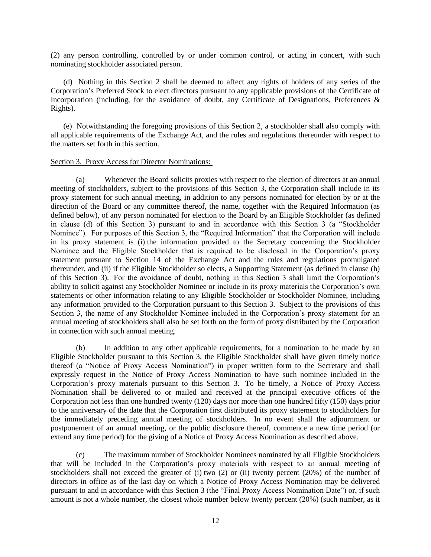(2) any person controlling, controlled by or under common control, or acting in concert, with such nominating stockholder associated person.

(d) Nothing in this Section 2 shall be deemed to affect any rights of holders of any series of the Corporation's Preferred Stock to elect directors pursuant to any applicable provisions of the Certificate of Incorporation (including, for the avoidance of doubt, any Certificate of Designations, Preferences & Rights).

(e) Notwithstanding the foregoing provisions of this Section 2, a stockholder shall also comply with all applicable requirements of the Exchange Act, and the rules and regulations thereunder with respect to the matters set forth in this section.

## Section 3. Proxy Access for Director Nominations:

(a) Whenever the Board solicits proxies with respect to the election of directors at an annual meeting of stockholders, subject to the provisions of this Section 3, the Corporation shall include in its proxy statement for such annual meeting, in addition to any persons nominated for election by or at the direction of the Board or any committee thereof, the name, together with the Required Information (as defined below), of any person nominated for election to the Board by an Eligible Stockholder (as defined in clause (d) of this Section 3) pursuant to and in accordance with this Section 3 (a "Stockholder Nominee"). For purposes of this Section 3, the "Required Information" that the Corporation will include in its proxy statement is (i) the information provided to the Secretary concerning the Stockholder Nominee and the Eligible Stockholder that is required to be disclosed in the Corporation's proxy statement pursuant to Section 14 of the Exchange Act and the rules and regulations promulgated thereunder, and (ii) if the Eligible Stockholder so elects, a Supporting Statement (as defined in clause (h) of this Section 3). For the avoidance of doubt, nothing in this Section 3 shall limit the Corporation's ability to solicit against any Stockholder Nominee or include in its proxy materials the Corporation's own statements or other information relating to any Eligible Stockholder or Stockholder Nominee, including any information provided to the Corporation pursuant to this Section 3. Subject to the provisions of this Section 3, the name of any Stockholder Nominee included in the Corporation's proxy statement for an annual meeting of stockholders shall also be set forth on the form of proxy distributed by the Corporation in connection with such annual meeting.

(b) In addition to any other applicable requirements, for a nomination to be made by an Eligible Stockholder pursuant to this Section 3, the Eligible Stockholder shall have given timely notice thereof (a "Notice of Proxy Access Nomination") in proper written form to the Secretary and shall expressly request in the Notice of Proxy Access Nomination to have such nominee included in the Corporation's proxy materials pursuant to this Section 3. To be timely, a Notice of Proxy Access Nomination shall be delivered to or mailed and received at the principal executive offices of the Corporation not less than one hundred twenty (120) days nor more than one hundred fifty (150) days prior to the anniversary of the date that the Corporation first distributed its proxy statement to stockholders for the immediately preceding annual meeting of stockholders. In no event shall the adjournment or postponement of an annual meeting, or the public disclosure thereof, commence a new time period (or extend any time period) for the giving of a Notice of Proxy Access Nomination as described above.

(c) The maximum number of Stockholder Nominees nominated by all Eligible Stockholders that will be included in the Corporation's proxy materials with respect to an annual meeting of stockholders shall not exceed the greater of (i) two (2) or (ii) twenty percent (20%) of the number of directors in office as of the last day on which a Notice of Proxy Access Nomination may be delivered pursuant to and in accordance with this Section 3 (the "Final Proxy Access Nomination Date") or, if such amount is not a whole number, the closest whole number below twenty percent (20%) (such number, as it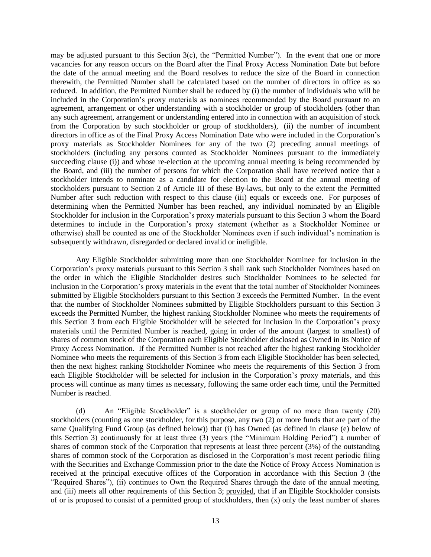may be adjusted pursuant to this Section 3(c), the "Permitted Number"). In the event that one or more vacancies for any reason occurs on the Board after the Final Proxy Access Nomination Date but before the date of the annual meeting and the Board resolves to reduce the size of the Board in connection therewith, the Permitted Number shall be calculated based on the number of directors in office as so reduced. In addition, the Permitted Number shall be reduced by (i) the number of individuals who will be included in the Corporation's proxy materials as nominees recommended by the Board pursuant to an agreement, arrangement or other understanding with a stockholder or group of stockholders (other than any such agreement, arrangement or understanding entered into in connection with an acquisition of stock from the Corporation by such stockholder or group of stockholders), (ii) the number of incumbent directors in office as of the Final Proxy Access Nomination Date who were included in the Corporation's proxy materials as Stockholder Nominees for any of the two (2) preceding annual meetings of stockholders (including any persons counted as Stockholder Nominees pursuant to the immediately succeeding clause (i)) and whose re-election at the upcoming annual meeting is being recommended by the Board, and (iii) the number of persons for which the Corporation shall have received notice that a stockholder intends to nominate as a candidate for election to the Board at the annual meeting of stockholders pursuant to Section 2 of Article III of these By-laws, but only to the extent the Permitted Number after such reduction with respect to this clause (iii) equals or exceeds one. For purposes of determining when the Permitted Number has been reached, any individual nominated by an Eligible Stockholder for inclusion in the Corporation's proxy materials pursuant to this Section 3 whom the Board determines to include in the Corporation's proxy statement (whether as a Stockholder Nominee or otherwise) shall be counted as one of the Stockholder Nominees even if such individual's nomination is subsequently withdrawn, disregarded or declared invalid or ineligible.

Any Eligible Stockholder submitting more than one Stockholder Nominee for inclusion in the Corporation's proxy materials pursuant to this Section 3 shall rank such Stockholder Nominees based on the order in which the Eligible Stockholder desires such Stockholder Nominees to be selected for inclusion in the Corporation's proxy materials in the event that the total number of Stockholder Nominees submitted by Eligible Stockholders pursuant to this Section 3 exceeds the Permitted Number. In the event that the number of Stockholder Nominees submitted by Eligible Stockholders pursuant to this Section 3 exceeds the Permitted Number, the highest ranking Stockholder Nominee who meets the requirements of this Section 3 from each Eligible Stockholder will be selected for inclusion in the Corporation's proxy materials until the Permitted Number is reached, going in order of the amount (largest to smallest) of shares of common stock of the Corporation each Eligible Stockholder disclosed as Owned in its Notice of Proxy Access Nomination. If the Permitted Number is not reached after the highest ranking Stockholder Nominee who meets the requirements of this Section 3 from each Eligible Stockholder has been selected, then the next highest ranking Stockholder Nominee who meets the requirements of this Section 3 from each Eligible Stockholder will be selected for inclusion in the Corporation's proxy materials, and this process will continue as many times as necessary, following the same order each time, until the Permitted Number is reached.

(d) An "Eligible Stockholder" is a stockholder or group of no more than twenty (20) stockholders (counting as one stockholder, for this purpose, any two (2) or more funds that are part of the same Qualifying Fund Group (as defined below)) that (i) has Owned (as defined in clause (e) below of this Section 3) continuously for at least three (3) years (the "Minimum Holding Period") a number of shares of common stock of the Corporation that represents at least three percent (3%) of the outstanding shares of common stock of the Corporation as disclosed in the Corporation's most recent periodic filing with the Securities and Exchange Commission prior to the date the Notice of Proxy Access Nomination is received at the principal executive offices of the Corporation in accordance with this Section 3 (the "Required Shares"), (ii) continues to Own the Required Shares through the date of the annual meeting, and (iii) meets all other requirements of this Section 3; provided, that if an Eligible Stockholder consists of or is proposed to consist of a permitted group of stockholders, then (x) only the least number of shares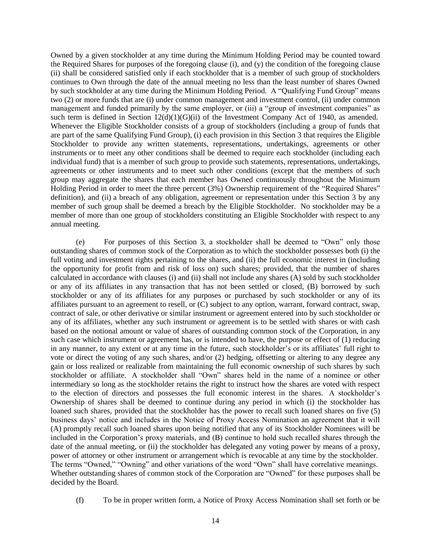Owned by a given stockholder at any time during the Minimum Holding Period may be counted toward the Required Shares for purposes of the foregoing clause (i), and (y) the condition of the foregoing clause (ii) shall be considered satisfied only if each stockholder that is a member of such group of stockholders continues to Own through the date of the annual meeting no less than the least number of shares Owned by such stockholder at any time during the Minimum Holding Period. A "Qualifying Fund Group" means two (2) or more funds that are (i) under common management and investment control, (ii) under common management and funded primarily by the same employer, or (iii) a "group of investment companies" as such term is defined in Section  $12(d)(1)(G)(ii)$  of the Investment Company Act of 1940, as amended. Whenever the Eligible Stockholder consists of a group of stockholders (including a group of funds that are part of the same Qualifying Fund Group), (i) each provision in this Section 3 that requires the Eligible Stockholder to provide any written statements, representations, undertakings, agreements or other instruments or to meet any other conditions shall be deemed to require each stockholder (including each individual fund) that is a member of such group to provide such statements, representations, undertakings, agreements or other instruments and to meet such other conditions (except that the members of such group may aggregate the shares that each member has Owned continuously throughout the Minimum Holding Period in order to meet the three percent (3%) Ownership requirement of the "Required Shares" definition), and (ii) a breach of any obligation, agreement or representation under this Section 3 by any member of such group shall be deemed a breach by the Eligible Stockholder. No stockholder may be a member of more than one group of stockholders constituting an Eligible Stockholder with respect to any annual meeting.

(e) For purposes of this Section 3, a stockholder shall be deemed to "Own" only those outstanding shares of common stock of the Corporation as to which the stockholder possesses both (i) the full voting and investment rights pertaining to the shares, and (ii) the full economic interest in (including the opportunity for profit from and risk of loss on) such shares; provided, that the number of shares calculated in accordance with clauses (i) and (ii) shall not include any shares (A) sold by such stockholder or any of its affiliates in any transaction that has not been settled or closed, (B) borrowed by such stockholder or any of its affiliates for any purposes or purchased by such stockholder or any of its affiliates pursuant to an agreement to resell, or (C) subject to any option, warrant, forward contract, swap, contract of sale, or other derivative or similar instrument or agreement entered into by such stockholder or any of its affiliates, whether any such instrument or agreement is to be settled with shares or with cash based on the notional amount or value of shares of outstanding common stock of the Corporation, in any such case which instrument or agreement has, or is intended to have, the purpose or effect of (1) reducing in any manner, to any extent or at any time in the future, such stockholder's or its affiliates' full right to vote or direct the voting of any such shares, and/or (2) hedging, offsetting or altering to any degree any gain or loss realized or realizable from maintaining the full economic ownership of such shares by such stockholder or affiliate. A stockholder shall "Own" shares held in the name of a nominee or other intermediary so long as the stockholder retains the right to instruct how the shares are voted with respect to the election of directors and possesses the full economic interest in the shares. A stockholder's Ownership of shares shall be deemed to continue during any period in which (i) the stockholder has loaned such shares, provided that the stockholder has the power to recall such loaned shares on five (5) business days' notice and includes in the Notice of Proxy Access Nomination an agreement that it will (A) promptly recall such loaned shares upon being notified that any of its Stockholder Nominees will be included in the Corporation's proxy materials, and (B) continue to hold such recalled shares through the date of the annual meeting, or (ii) the stockholder has delegated any voting power by means of a proxy, power of attorney or other instrument or arrangement which is revocable at any time by the stockholder. The terms "Owned," "Owning" and other variations of the word "Own" shall have correlative meanings. Whether outstanding shares of common stock of the Corporation are "Owned" for these purposes shall be decided by the Board.

(f) To be in proper written form, a Notice of Proxy Access Nomination shall set forth or be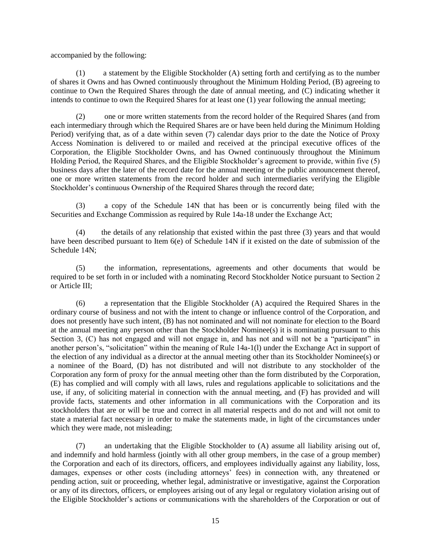accompanied by the following:

(1) a statement by the Eligible Stockholder (A) setting forth and certifying as to the number of shares it Owns and has Owned continuously throughout the Minimum Holding Period, (B) agreeing to continue to Own the Required Shares through the date of annual meeting, and (C) indicating whether it intends to continue to own the Required Shares for at least one (1) year following the annual meeting;

(2) one or more written statements from the record holder of the Required Shares (and from each intermediary through which the Required Shares are or have been held during the Minimum Holding Period) verifying that, as of a date within seven (7) calendar days prior to the date the Notice of Proxy Access Nomination is delivered to or mailed and received at the principal executive offices of the Corporation, the Eligible Stockholder Owns, and has Owned continuously throughout the Minimum Holding Period, the Required Shares, and the Eligible Stockholder's agreement to provide, within five (5) business days after the later of the record date for the annual meeting or the public announcement thereof, one or more written statements from the record holder and such intermediaries verifying the Eligible Stockholder's continuous Ownership of the Required Shares through the record date;

a copy of the Schedule 14N that has been or is concurrently being filed with the Securities and Exchange Commission as required by Rule 14a-18 under the Exchange Act;

(4) the details of any relationship that existed within the past three (3) years and that would have been described pursuant to Item 6(e) of Schedule 14N if it existed on the date of submission of the Schedule 14N;

(5) the information, representations, agreements and other documents that would be required to be set forth in or included with a nominating Record Stockholder Notice pursuant to Section 2 or Article III;

(6) a representation that the Eligible Stockholder (A) acquired the Required Shares in the ordinary course of business and not with the intent to change or influence control of the Corporation, and does not presently have such intent, (B) has not nominated and will not nominate for election to the Board at the annual meeting any person other than the Stockholder Nominee(s) it is nominating pursuant to this Section 3, (C) has not engaged and will not engage in, and has not and will not be a "participant" in another person's, "solicitation" within the meaning of Rule 14a-1(l) under the Exchange Act in support of the election of any individual as a director at the annual meeting other than its Stockholder Nominee(s) or a nominee of the Board, (D) has not distributed and will not distribute to any stockholder of the Corporation any form of proxy for the annual meeting other than the form distributed by the Corporation, (E) has complied and will comply with all laws, rules and regulations applicable to solicitations and the use, if any, of soliciting material in connection with the annual meeting, and (F) has provided and will provide facts, statements and other information in all communications with the Corporation and its stockholders that are or will be true and correct in all material respects and do not and will not omit to state a material fact necessary in order to make the statements made, in light of the circumstances under which they were made, not misleading;

(7) an undertaking that the Eligible Stockholder to (A) assume all liability arising out of, and indemnify and hold harmless (jointly with all other group members, in the case of a group member) the Corporation and each of its directors, officers, and employees individually against any liability, loss, damages, expenses or other costs (including attorneys' fees) in connection with, any threatened or pending action, suit or proceeding, whether legal, administrative or investigative, against the Corporation or any of its directors, officers, or employees arising out of any legal or regulatory violation arising out of the Eligible Stockholder's actions or communications with the shareholders of the Corporation or out of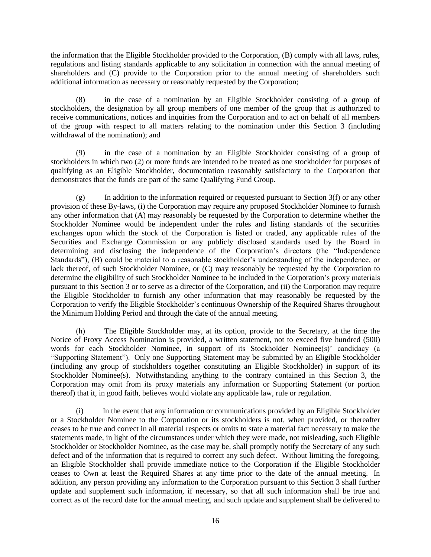the information that the Eligible Stockholder provided to the Corporation, (B) comply with all laws, rules, regulations and listing standards applicable to any solicitation in connection with the annual meeting of shareholders and (C) provide to the Corporation prior to the annual meeting of shareholders such additional information as necessary or reasonably requested by the Corporation;

(8) in the case of a nomination by an Eligible Stockholder consisting of a group of stockholders, the designation by all group members of one member of the group that is authorized to receive communications, notices and inquiries from the Corporation and to act on behalf of all members of the group with respect to all matters relating to the nomination under this Section 3 (including withdrawal of the nomination); and

(9) in the case of a nomination by an Eligible Stockholder consisting of a group of stockholders in which two (2) or more funds are intended to be treated as one stockholder for purposes of qualifying as an Eligible Stockholder, documentation reasonably satisfactory to the Corporation that demonstrates that the funds are part of the same Qualifying Fund Group.

 $(g)$  In addition to the information required or requested pursuant to Section 3(f) or any other provision of these By-laws, (i) the Corporation may require any proposed Stockholder Nominee to furnish any other information that (A) may reasonably be requested by the Corporation to determine whether the Stockholder Nominee would be independent under the rules and listing standards of the securities exchanges upon which the stock of the Corporation is listed or traded, any applicable rules of the Securities and Exchange Commission or any publicly disclosed standards used by the Board in determining and disclosing the independence of the Corporation's directors (the "Independence Standards"), (B) could be material to a reasonable stockholder's understanding of the independence, or lack thereof, of such Stockholder Nominee, or (C) may reasonably be requested by the Corporation to determine the eligibility of such Stockholder Nominee to be included in the Corporation's proxy materials pursuant to this Section 3 or to serve as a director of the Corporation, and (ii) the Corporation may require the Eligible Stockholder to furnish any other information that may reasonably be requested by the Corporation to verify the Eligible Stockholder's continuous Ownership of the Required Shares throughout the Minimum Holding Period and through the date of the annual meeting.

(h) The Eligible Stockholder may, at its option, provide to the Secretary, at the time the Notice of Proxy Access Nomination is provided, a written statement, not to exceed five hundred (500) words for each Stockholder Nominee, in support of its Stockholder Nominee(s)' candidacy (a "Supporting Statement"). Only one Supporting Statement may be submitted by an Eligible Stockholder (including any group of stockholders together constituting an Eligible Stockholder) in support of its Stockholder Nominee(s). Notwithstanding anything to the contrary contained in this Section 3, the Corporation may omit from its proxy materials any information or Supporting Statement (or portion thereof) that it, in good faith, believes would violate any applicable law, rule or regulation.

(i) In the event that any information or communications provided by an Eligible Stockholder or a Stockholder Nominee to the Corporation or its stockholders is not, when provided, or thereafter ceases to be true and correct in all material respects or omits to state a material fact necessary to make the statements made, in light of the circumstances under which they were made, not misleading, such Eligible Stockholder or Stockholder Nominee, as the case may be, shall promptly notify the Secretary of any such defect and of the information that is required to correct any such defect. Without limiting the foregoing, an Eligible Stockholder shall provide immediate notice to the Corporation if the Eligible Stockholder ceases to Own at least the Required Shares at any time prior to the date of the annual meeting. In addition, any person providing any information to the Corporation pursuant to this Section 3 shall further update and supplement such information, if necessary, so that all such information shall be true and correct as of the record date for the annual meeting, and such update and supplement shall be delivered to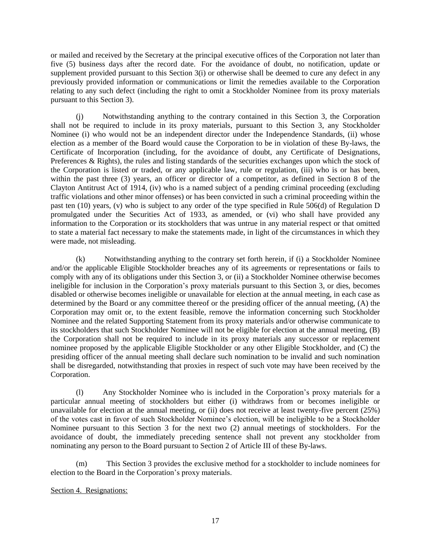or mailed and received by the Secretary at the principal executive offices of the Corporation not later than five (5) business days after the record date. For the avoidance of doubt, no notification, update or supplement provided pursuant to this Section 3(i) or otherwise shall be deemed to cure any defect in any previously provided information or communications or limit the remedies available to the Corporation relating to any such defect (including the right to omit a Stockholder Nominee from its proxy materials pursuant to this Section 3).

(j) Notwithstanding anything to the contrary contained in this Section 3, the Corporation shall not be required to include in its proxy materials, pursuant to this Section 3, any Stockholder Nominee (i) who would not be an independent director under the Independence Standards, (ii) whose election as a member of the Board would cause the Corporation to be in violation of these By-laws, the Certificate of Incorporation (including, for the avoidance of doubt, any Certificate of Designations, Preferences & Rights), the rules and listing standards of the securities exchanges upon which the stock of the Corporation is listed or traded, or any applicable law, rule or regulation, (iii) who is or has been, within the past three (3) years, an officer or director of a competitor, as defined in Section 8 of the Clayton Antitrust Act of 1914, (iv) who is a named subject of a pending criminal proceeding (excluding traffic violations and other minor offenses) or has been convicted in such a criminal proceeding within the past ten (10) years, (v) who is subject to any order of the type specified in Rule 506(d) of Regulation D promulgated under the Securities Act of 1933, as amended, or (vi) who shall have provided any information to the Corporation or its stockholders that was untrue in any material respect or that omitted to state a material fact necessary to make the statements made, in light of the circumstances in which they were made, not misleading.

(k) Notwithstanding anything to the contrary set forth herein, if (i) a Stockholder Nominee and/or the applicable Eligible Stockholder breaches any of its agreements or representations or fails to comply with any of its obligations under this Section 3, or (ii) a Stockholder Nominee otherwise becomes ineligible for inclusion in the Corporation's proxy materials pursuant to this Section 3, or dies, becomes disabled or otherwise becomes ineligible or unavailable for election at the annual meeting, in each case as determined by the Board or any committee thereof or the presiding officer of the annual meeting, (A) the Corporation may omit or, to the extent feasible, remove the information concerning such Stockholder Nominee and the related Supporting Statement from its proxy materials and/or otherwise communicate to its stockholders that such Stockholder Nominee will not be eligible for election at the annual meeting, (B) the Corporation shall not be required to include in its proxy materials any successor or replacement nominee proposed by the applicable Eligible Stockholder or any other Eligible Stockholder, and (C) the presiding officer of the annual meeting shall declare such nomination to be invalid and such nomination shall be disregarded, notwithstanding that proxies in respect of such vote may have been received by the Corporation.

(l) Any Stockholder Nominee who is included in the Corporation's proxy materials for a particular annual meeting of stockholders but either (i) withdraws from or becomes ineligible or unavailable for election at the annual meeting, or (ii) does not receive at least twenty-five percent (25%) of the votes cast in favor of such Stockholder Nominee's election, will be ineligible to be a Stockholder Nominee pursuant to this Section 3 for the next two (2) annual meetings of stockholders. For the avoidance of doubt, the immediately preceding sentence shall not prevent any stockholder from nominating any person to the Board pursuant to Section 2 of Article III of these By-laws.

(m) This Section 3 provides the exclusive method for a stockholder to include nominees for election to the Board in the Corporation's proxy materials.

Section 4. Resignations: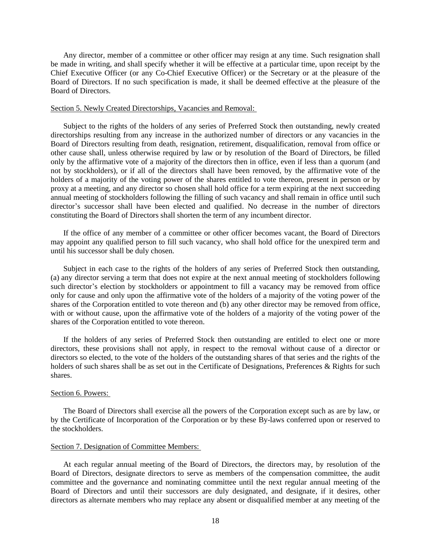Any director, member of a committee or other officer may resign at any time. Such resignation shall be made in writing, and shall specify whether it will be effective at a particular time, upon receipt by the Chief Executive Officer (or any Co-Chief Executive Officer) or the Secretary or at the pleasure of the Board of Directors. If no such specification is made, it shall be deemed effective at the pleasure of the Board of Directors.

## Section 5. Newly Created Directorships, Vacancies and Removal:

Subject to the rights of the holders of any series of Preferred Stock then outstanding, newly created directorships resulting from any increase in the authorized number of directors or any vacancies in the Board of Directors resulting from death, resignation, retirement, disqualification, removal from office or other cause shall, unless otherwise required by law or by resolution of the Board of Directors, be filled only by the affirmative vote of a majority of the directors then in office, even if less than a quorum (and not by stockholders), or if all of the directors shall have been removed, by the affirmative vote of the holders of a majority of the voting power of the shares entitled to vote thereon, present in person or by proxy at a meeting, and any director so chosen shall hold office for a term expiring at the next succeeding annual meeting of stockholders following the filling of such vacancy and shall remain in office until such director's successor shall have been elected and qualified. No decrease in the number of directors constituting the Board of Directors shall shorten the term of any incumbent director.

If the office of any member of a committee or other officer becomes vacant, the Board of Directors may appoint any qualified person to fill such vacancy, who shall hold office for the unexpired term and until his successor shall be duly chosen.

Subject in each case to the rights of the holders of any series of Preferred Stock then outstanding, (a) any director serving a term that does not expire at the next annual meeting of stockholders following such director's election by stockholders or appointment to fill a vacancy may be removed from office only for cause and only upon the affirmative vote of the holders of a majority of the voting power of the shares of the Corporation entitled to vote thereon and (b) any other director may be removed from office, with or without cause, upon the affirmative vote of the holders of a majority of the voting power of the shares of the Corporation entitled to vote thereon.

If the holders of any series of Preferred Stock then outstanding are entitled to elect one or more directors, these provisions shall not apply, in respect to the removal without cause of a director or directors so elected, to the vote of the holders of the outstanding shares of that series and the rights of the holders of such shares shall be as set out in the Certificate of Designations, Preferences & Rights for such shares.

#### Section 6. Powers:

The Board of Directors shall exercise all the powers of the Corporation except such as are by law, or by the Certificate of Incorporation of the Corporation or by these By-laws conferred upon or reserved to the stockholders.

#### Section 7. Designation of Committee Members:

At each regular annual meeting of the Board of Directors, the directors may, by resolution of the Board of Directors, designate directors to serve as members of the compensation committee, the audit committee and the governance and nominating committee until the next regular annual meeting of the Board of Directors and until their successors are duly designated, and designate, if it desires, other directors as alternate members who may replace any absent or disqualified member at any meeting of the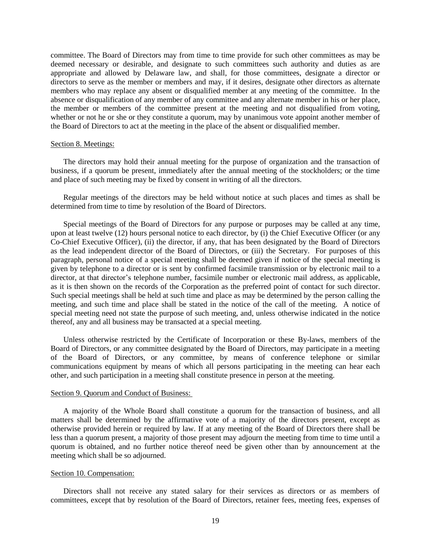committee. The Board of Directors may from time to time provide for such other committees as may be deemed necessary or desirable, and designate to such committees such authority and duties as are appropriate and allowed by Delaware law, and shall, for those committees, designate a director or directors to serve as the member or members and may, if it desires, designate other directors as alternate members who may replace any absent or disqualified member at any meeting of the committee. In the absence or disqualification of any member of any committee and any alternate member in his or her place, the member or members of the committee present at the meeting and not disqualified from voting, whether or not he or she or they constitute a quorum, may by unanimous vote appoint another member of the Board of Directors to act at the meeting in the place of the absent or disqualified member.

#### Section 8. Meetings:

The directors may hold their annual meeting for the purpose of organization and the transaction of business, if a quorum be present, immediately after the annual meeting of the stockholders; or the time and place of such meeting may be fixed by consent in writing of all the directors.

Regular meetings of the directors may be held without notice at such places and times as shall be determined from time to time by resolution of the Board of Directors.

Special meetings of the Board of Directors for any purpose or purposes may be called at any time, upon at least twelve (12) hours personal notice to each director, by (i) the Chief Executive Officer (or any Co-Chief Executive Officer), (ii) the director, if any, that has been designated by the Board of Directors as the lead independent director of the Board of Directors, or (iii) the Secretary. For purposes of this paragraph, personal notice of a special meeting shall be deemed given if notice of the special meeting is given by telephone to a director or is sent by confirmed facsimile transmission or by electronic mail to a director, at that director's telephone number, facsimile number or electronic mail address, as applicable, as it is then shown on the records of the Corporation as the preferred point of contact for such director. Such special meetings shall be held at such time and place as may be determined by the person calling the meeting, and such time and place shall be stated in the notice of the call of the meeting. A notice of special meeting need not state the purpose of such meeting, and, unless otherwise indicated in the notice thereof, any and all business may be transacted at a special meeting.

Unless otherwise restricted by the Certificate of Incorporation or these By-laws, members of the Board of Directors, or any committee designated by the Board of Directors, may participate in a meeting of the Board of Directors, or any committee, by means of conference telephone or similar communications equipment by means of which all persons participating in the meeting can hear each other, and such participation in a meeting shall constitute presence in person at the meeting.

### Section 9. Quorum and Conduct of Business:

A majority of the Whole Board shall constitute a quorum for the transaction of business, and all matters shall be determined by the affirmative vote of a majority of the directors present, except as otherwise provided herein or required by law. If at any meeting of the Board of Directors there shall be less than a quorum present, a majority of those present may adjourn the meeting from time to time until a quorum is obtained, and no further notice thereof need be given other than by announcement at the meeting which shall be so adjourned.

#### Section 10. Compensation:

Directors shall not receive any stated salary for their services as directors or as members of committees, except that by resolution of the Board of Directors, retainer fees, meeting fees, expenses of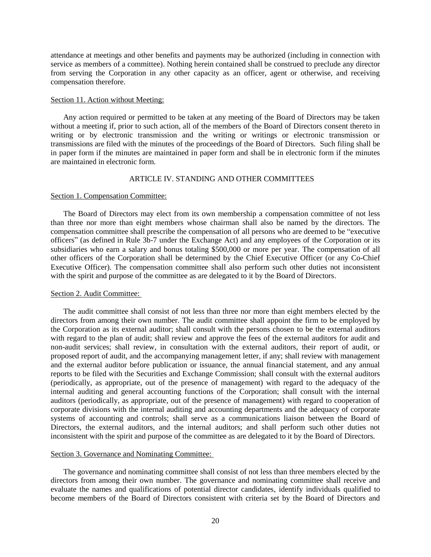attendance at meetings and other benefits and payments may be authorized (including in connection with service as members of a committee). Nothing herein contained shall be construed to preclude any director from serving the Corporation in any other capacity as an officer, agent or otherwise, and receiving compensation therefore.

## Section 11. Action without Meeting:

Any action required or permitted to be taken at any meeting of the Board of Directors may be taken without a meeting if, prior to such action, all of the members of the Board of Directors consent thereto in writing or by electronic transmission and the writing or writings or electronic transmission or transmissions are filed with the minutes of the proceedings of the Board of Directors. Such filing shall be in paper form if the minutes are maintained in paper form and shall be in electronic form if the minutes are maintained in electronic form.

# ARTICLE IV. STANDING AND OTHER COMMITTEES

### Section 1. Compensation Committee:

The Board of Directors may elect from its own membership a compensation committee of not less than three nor more than eight members whose chairman shall also be named by the directors. The compensation committee shall prescribe the compensation of all persons who are deemed to be "executive officers" (as defined in Rule 3b-7 under the Exchange Act) and any employees of the Corporation or its subsidiaries who earn a salary and bonus totaling \$500,000 or more per year. The compensation of all other officers of the Corporation shall be determined by the Chief Executive Officer (or any Co-Chief Executive Officer). The compensation committee shall also perform such other duties not inconsistent with the spirit and purpose of the committee as are delegated to it by the Board of Directors.

## Section 2. Audit Committee:

The audit committee shall consist of not less than three nor more than eight members elected by the directors from among their own number. The audit committee shall appoint the firm to be employed by the Corporation as its external auditor; shall consult with the persons chosen to be the external auditors with regard to the plan of audit; shall review and approve the fees of the external auditors for audit and non-audit services; shall review, in consultation with the external auditors, their report of audit, or proposed report of audit, and the accompanying management letter, if any; shall review with management and the external auditor before publication or issuance, the annual financial statement, and any annual reports to be filed with the Securities and Exchange Commission; shall consult with the external auditors (periodically, as appropriate, out of the presence of management) with regard to the adequacy of the internal auditing and general accounting functions of the Corporation; shall consult with the internal auditors (periodically, as appropriate, out of the presence of management) with regard to cooperation of corporate divisions with the internal auditing and accounting departments and the adequacy of corporate systems of accounting and controls; shall serve as a communications liaison between the Board of Directors, the external auditors, and the internal auditors; and shall perform such other duties not inconsistent with the spirit and purpose of the committee as are delegated to it by the Board of Directors.

## Section 3. Governance and Nominating Committee:

The governance and nominating committee shall consist of not less than three members elected by the directors from among their own number. The governance and nominating committee shall receive and evaluate the names and qualifications of potential director candidates, identify individuals qualified to become members of the Board of Directors consistent with criteria set by the Board of Directors and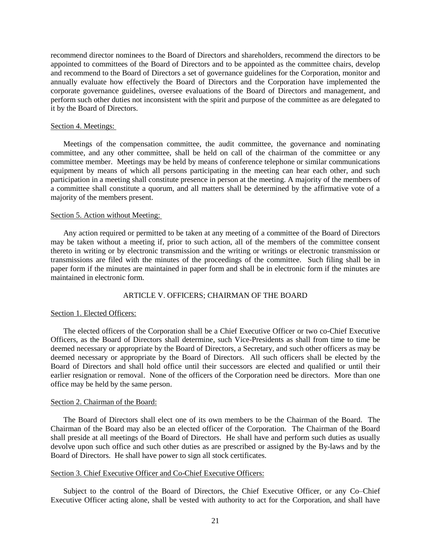recommend director nominees to the Board of Directors and shareholders, recommend the directors to be appointed to committees of the Board of Directors and to be appointed as the committee chairs, develop and recommend to the Board of Directors a set of governance guidelines for the Corporation, monitor and annually evaluate how effectively the Board of Directors and the Corporation have implemented the corporate governance guidelines, oversee evaluations of the Board of Directors and management, and perform such other duties not inconsistent with the spirit and purpose of the committee as are delegated to it by the Board of Directors.

## Section 4. Meetings:

Meetings of the compensation committee, the audit committee, the governance and nominating committee, and any other committee, shall be held on call of the chairman of the committee or any committee member. Meetings may be held by means of conference telephone or similar communications equipment by means of which all persons participating in the meeting can hear each other, and such participation in a meeting shall constitute presence in person at the meeting. A majority of the members of a committee shall constitute a quorum, and all matters shall be determined by the affirmative vote of a majority of the members present.

#### Section 5. Action without Meeting:

Any action required or permitted to be taken at any meeting of a committee of the Board of Directors may be taken without a meeting if, prior to such action, all of the members of the committee consent thereto in writing or by electronic transmission and the writing or writings or electronic transmission or transmissions are filed with the minutes of the proceedings of the committee. Such filing shall be in paper form if the minutes are maintained in paper form and shall be in electronic form if the minutes are maintained in electronic form.

## ARTICLE V. OFFICERS; CHAIRMAN OF THE BOARD

# Section 1. Elected Officers:

The elected officers of the Corporation shall be a Chief Executive Officer or two co-Chief Executive Officers, as the Board of Directors shall determine, such Vice-Presidents as shall from time to time be deemed necessary or appropriate by the Board of Directors, a Secretary, and such other officers as may be deemed necessary or appropriate by the Board of Directors. All such officers shall be elected by the Board of Directors and shall hold office until their successors are elected and qualified or until their earlier resignation or removal. None of the officers of the Corporation need be directors. More than one office may be held by the same person.

## Section 2. Chairman of the Board:

The Board of Directors shall elect one of its own members to be the Chairman of the Board. The Chairman of the Board may also be an elected officer of the Corporation. The Chairman of the Board shall preside at all meetings of the Board of Directors. He shall have and perform such duties as usually devolve upon such office and such other duties as are prescribed or assigned by the By-laws and by the Board of Directors. He shall have power to sign all stock certificates.

#### Section 3. Chief Executive Officer and Co-Chief Executive Officers:

Subject to the control of the Board of Directors, the Chief Executive Officer, or any Co–Chief Executive Officer acting alone, shall be vested with authority to act for the Corporation, and shall have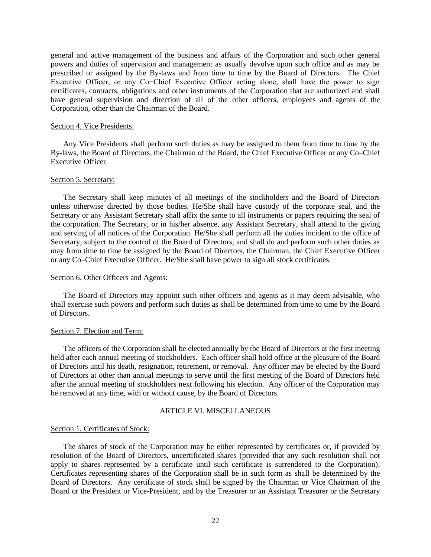general and active management of the business and affairs of the Corporation and such other general powers and duties of supervision and management as usually devolve upon such office and as may be prescribed or assigned by the By-laws and from time to time by the Board of Directors. The Chief Executive Officer, or any Co−Chief Executive Officer acting alone, shall have the power to sign certificates, contracts, obligations and other instruments of the Corporation that are authorized and shall have general supervision and direction of all of the other officers, employees and agents of the Corporation, other than the Chairman of the Board.

### Section 4. Vice Presidents:

Any Vice Presidents shall perform such duties as may be assigned to them from time to time by the By-laws, the Board of Directors, the Chairman of the Board, the Chief Executive Officer or any Co–Chief Executive Officer.

### Section 5. Secretary:

The Secretary shall keep minutes of all meetings of the stockholders and the Board of Directors unless otherwise directed by those bodies. He/She shall have custody of the corporate seal, and the Secretary or any Assistant Secretary shall affix the same to all instruments or papers requiring the seal of the corporation. The Secretary, or in his/her absence, any Assistant Secretary, shall attend to the giving and serving of all notices of the Corporation. He/She shall perform all the duties incident to the office of Secretary, subject to the control of the Board of Directors, and shall do and perform such other duties as may from time to time be assigned by the Board of Directors, the Chairman, the Chief Executive Officer or any Co–Chief Executive Officer. He/She shall have power to sign all stock certificates.

### Section 6. Other Officers and Agents:

The Board of Directors may appoint such other officers and agents as it may deem advisable, who shall exercise such powers and perform such duties as shall be determined from time to time by the Board of Directors.

## Section 7. Election and Term:

The officers of the Corporation shall be elected annually by the Board of Directors at the first meeting held after each annual meeting of stockholders. Each officer shall hold office at the pleasure of the Board of Directors until his death, resignation, retirement, or removal. Any officer may be elected by the Board of Directors at other than annual meetings to serve until the first meeting of the Board of Directors held after the annual meeting of stockholders next following his election. Any officer of the Corporation may be removed at any time, with or without cause, by the Board of Directors.

# ARTICLE VI. MISCELLANEOUS

# Section 1. Certificates of Stock:

The shares of stock of the Corporation may be either represented by certificates or, if provided by resolution of the Board of Directors, uncertificated shares (provided that any such resolution shall not apply to shares represented by a certificate until such certificate is surrendered to the Corporation). Certificates representing shares of the Corporation shall be in such form as shall be determined by the Board of Directors. Any certificate of stock shall be signed by the Chairman or Vice Chairman of the Board or the President or Vice-President, and by the Treasurer or an Assistant Treasurer or the Secretary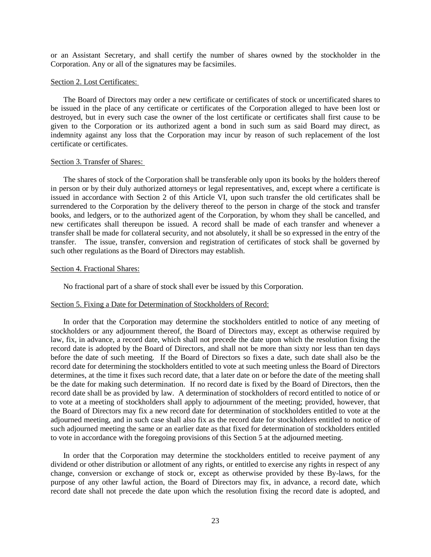or an Assistant Secretary, and shall certify the number of shares owned by the stockholder in the Corporation. Any or all of the signatures may be facsimiles.

## Section 2. Lost Certificates:

The Board of Directors may order a new certificate or certificates of stock or uncertificated shares to be issued in the place of any certificate or certificates of the Corporation alleged to have been lost or destroyed, but in every such case the owner of the lost certificate or certificates shall first cause to be given to the Corporation or its authorized agent a bond in such sum as said Board may direct, as indemnity against any loss that the Corporation may incur by reason of such replacement of the lost certificate or certificates.

## Section 3. Transfer of Shares:

The shares of stock of the Corporation shall be transferable only upon its books by the holders thereof in person or by their duly authorized attorneys or legal representatives, and, except where a certificate is issued in accordance with Section 2 of this Article VI, upon such transfer the old certificates shall be surrendered to the Corporation by the delivery thereof to the person in charge of the stock and transfer books, and ledgers, or to the authorized agent of the Corporation, by whom they shall be cancelled, and new certificates shall thereupon be issued. A record shall be made of each transfer and whenever a transfer shall be made for collateral security, and not absolutely, it shall be so expressed in the entry of the transfer. The issue, transfer, conversion and registration of certificates of stock shall be governed by such other regulations as the Board of Directors may establish.

#### Section 4. Fractional Shares:

No fractional part of a share of stock shall ever be issued by this Corporation.

### Section 5. Fixing a Date for Determination of Stockholders of Record:

In order that the Corporation may determine the stockholders entitled to notice of any meeting of stockholders or any adjournment thereof, the Board of Directors may, except as otherwise required by law, fix, in advance, a record date, which shall not precede the date upon which the resolution fixing the record date is adopted by the Board of Directors, and shall not be more than sixty nor less than ten days before the date of such meeting. If the Board of Directors so fixes a date, such date shall also be the record date for determining the stockholders entitled to vote at such meeting unless the Board of Directors determines, at the time it fixes such record date, that a later date on or before the date of the meeting shall be the date for making such determination. If no record date is fixed by the Board of Directors, then the record date shall be as provided by law. A determination of stockholders of record entitled to notice of or to vote at a meeting of stockholders shall apply to adjournment of the meeting; provided, however, that the Board of Directors may fix a new record date for determination of stockholders entitled to vote at the adjourned meeting, and in such case shall also fix as the record date for stockholders entitled to notice of such adjourned meeting the same or an earlier date as that fixed for determination of stockholders entitled to vote in accordance with the foregoing provisions of this Section 5 at the adjourned meeting.

In order that the Corporation may determine the stockholders entitled to receive payment of any dividend or other distribution or allotment of any rights, or entitled to exercise any rights in respect of any change, conversion or exchange of stock or, except as otherwise provided by these By-laws, for the purpose of any other lawful action, the Board of Directors may fix, in advance, a record date, which record date shall not precede the date upon which the resolution fixing the record date is adopted, and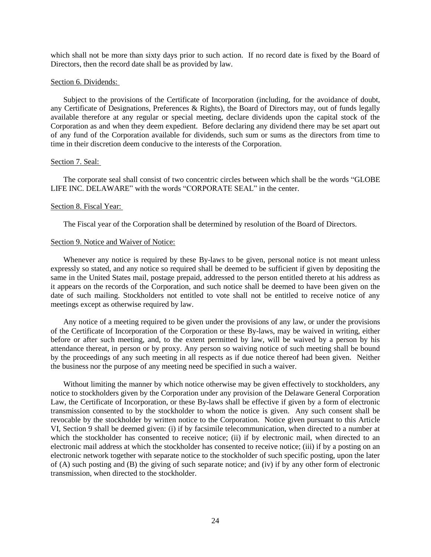which shall not be more than sixty days prior to such action. If no record date is fixed by the Board of Directors, then the record date shall be as provided by law.

### Section 6. Dividends:

Subject to the provisions of the Certificate of Incorporation (including, for the avoidance of doubt, any Certificate of Designations, Preferences & Rights), the Board of Directors may, out of funds legally available therefore at any regular or special meeting, declare dividends upon the capital stock of the Corporation as and when they deem expedient. Before declaring any dividend there may be set apart out of any fund of the Corporation available for dividends, such sum or sums as the directors from time to time in their discretion deem conducive to the interests of the Corporation.

### Section 7. Seal:

The corporate seal shall consist of two concentric circles between which shall be the words "GLOBE LIFE INC. DELAWARE" with the words "CORPORATE SEAL" in the center.

### Section 8. Fiscal Year:

The Fiscal year of the Corporation shall be determined by resolution of the Board of Directors.

### Section 9. Notice and Waiver of Notice:

Whenever any notice is required by these By-laws to be given, personal notice is not meant unless expressly so stated, and any notice so required shall be deemed to be sufficient if given by depositing the same in the United States mail, postage prepaid, addressed to the person entitled thereto at his address as it appears on the records of the Corporation, and such notice shall be deemed to have been given on the date of such mailing. Stockholders not entitled to vote shall not be entitled to receive notice of any meetings except as otherwise required by law.

Any notice of a meeting required to be given under the provisions of any law, or under the provisions of the Certificate of Incorporation of the Corporation or these By-laws, may be waived in writing, either before or after such meeting, and, to the extent permitted by law, will be waived by a person by his attendance thereat, in person or by proxy. Any person so waiving notice of such meeting shall be bound by the proceedings of any such meeting in all respects as if due notice thereof had been given. Neither the business nor the purpose of any meeting need be specified in such a waiver.

Without limiting the manner by which notice otherwise may be given effectively to stockholders, any notice to stockholders given by the Corporation under any provision of the Delaware General Corporation Law, the Certificate of Incorporation, or these By-laws shall be effective if given by a form of electronic transmission consented to by the stockholder to whom the notice is given. Any such consent shall be revocable by the stockholder by written notice to the Corporation. Notice given pursuant to this Article VI, Section 9 shall be deemed given: (i) if by facsimile telecommunication, when directed to a number at which the stockholder has consented to receive notice; (ii) if by electronic mail, when directed to an electronic mail address at which the stockholder has consented to receive notice; (iii) if by a posting on an electronic network together with separate notice to the stockholder of such specific posting, upon the later of (A) such posting and (B) the giving of such separate notice; and (iv) if by any other form of electronic transmission, when directed to the stockholder.